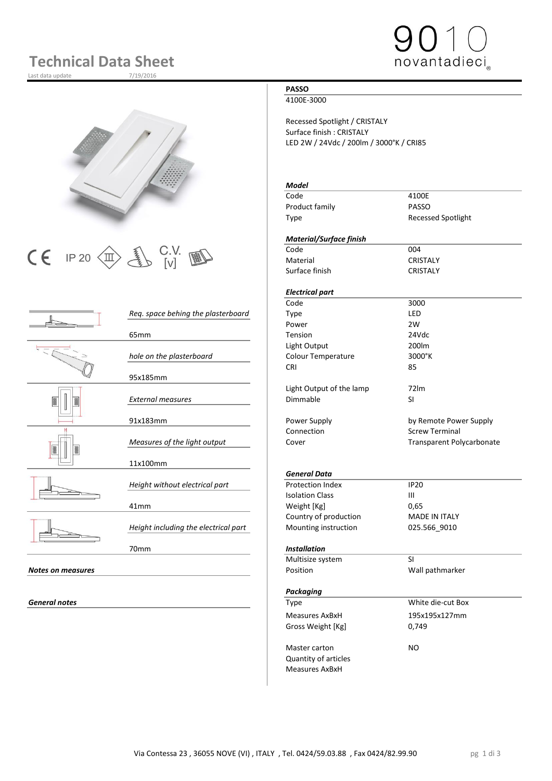# **Technical Data Sheet**

Last data update





 $\begin{array}{|c|c|c|c|}\n\hline\n\text{C} & \text{IP 20}\n\hline\n\text{CD} & \text{UV} & \text{W} & \text{C} & \text{C} & \text{C} & \text{C} & \text{C} & \text{C} & \text{C} \\
\hline\n\text{C} & \text{I} & \text{V} & \text{V} & \text{V} & \text{V} & \text{M} & \text{D} & \text{C} & \text{C} & \text{C} \\
\hline\n\end{array}$ 

|                          | Req. space behing the plasterboard   | Type                     | LED                     |
|--------------------------|--------------------------------------|--------------------------|-------------------------|
|                          |                                      | Power                    | 2W                      |
|                          | 65 <sub>mm</sub>                     | Tension                  | 24Vdc                   |
|                          |                                      | Light Output             | 200lm                   |
|                          | hole on the plasterboard             | Colour Temperature       | 3000°K                  |
|                          |                                      | <b>CRI</b>               | 85                      |
|                          | 95x185mm                             |                          |                         |
|                          |                                      | Light Output of the lamp | 72 <sub>lm</sub>        |
|                          | <b>External measures</b>             | Dimmable                 | SI                      |
|                          |                                      |                          |                         |
|                          | 91x183mm                             | Power Supply             | by Remote Powe          |
|                          |                                      | Connection               | <b>Screw Terminal</b>   |
|                          | Measures of the light output         | Cover                    | <b>Transparent Poly</b> |
|                          |                                      |                          |                         |
|                          | 11x100mm                             |                          |                         |
|                          |                                      | <b>General Data</b>      |                         |
|                          | Height without electrical part       | <b>Protection Index</b>  | <b>IP20</b>             |
|                          |                                      | <b>Isolation Class</b>   | $\mathbf{III}$          |
|                          | 41mm                                 | Weight [Kg]              | 0,65                    |
|                          |                                      | Country of production    | <b>MADE IN ITALY</b>    |
|                          | Height including the electrical part | Mounting instruction     | 025.566_9010            |
|                          |                                      |                          |                         |
|                          | 70mm                                 | <b>Installation</b>      |                         |
|                          |                                      | Multisize system         | SI                      |
| <b>Notes on measures</b> |                                      | Position                 | Wall pathmarker         |
|                          |                                      |                          |                         |
|                          |                                      |                          |                         |

**General notes** 

## **PASSO**

4100E-3000

Recessed Spotlight / CRISTALY Surface finish : CRISTALY LED 2W / 24Vdc / 200lm / 3000°K / CRI85

### *Model*

| Code           | 4100E                     |
|----------------|---------------------------|
| Product family | <b>PASSO</b>              |
| Type           | <b>Recessed Spotlight</b> |

### *Material/Surface finish*

Material CRISTALY Surface finish CRISTALY

# *Electrical part*

|                                    | Code                     | 3000                             |
|------------------------------------|--------------------------|----------------------------------|
| Reg. space behing the plasterboard | Type                     | LED                              |
|                                    | Power                    | 2W                               |
| 65 <sub>mm</sub>                   | <b>Tension</b>           | 24Vdc                            |
|                                    | Light Output             | 200lm                            |
| hole on the plasterboard           | Colour Temperature       | $3000^\circ K$                   |
|                                    | <b>CRI</b>               | 85                               |
| 95x185mm                           |                          |                                  |
|                                    | Light Output of the lamp | 72 <sub>lm</sub>                 |
| <b>External measures</b>           | Dimmable                 | SI                               |
| 91x183mm                           | Power Supply             | by Remote Power Supply           |
|                                    | Connection               | <b>Screw Terminal</b>            |
| Measures of the light output       | Cover                    | <b>Transparent Polycarbonate</b> |

### *General Data*

#### 70mm *Installation*

| Multisize system     | SI                |  |
|----------------------|-------------------|--|
| Position             | Wall pathmarker   |  |
|                      |                   |  |
| Packaging            |                   |  |
| Type                 | White die-cut Box |  |
| Measures AxBxH       | 195x195x127mm     |  |
| Gross Weight [Kg]    | 0,749             |  |
| Master carton        | NO.               |  |
| Quantity of articles |                   |  |
| Measures AxBxH       |                   |  |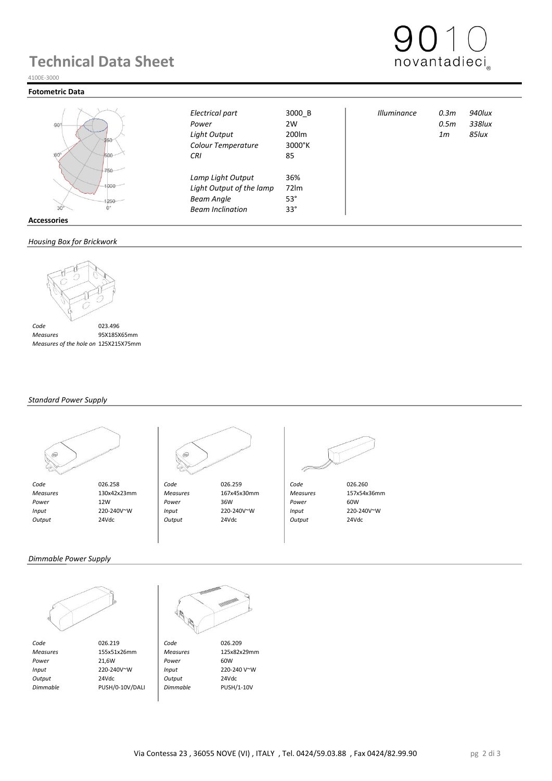# **Technical Data Sheet**

4100E-3000

### **Fotometric Data**



|                   | Electrical part          | 3000_B     | <b>Illuminance</b> | 0.3m | 940lux |
|-------------------|--------------------------|------------|--------------------|------|--------|
| $-90^\circ$       | Power                    | 2W         |                    | 0.5m | 338lux |
|                   | Light Output             | 200lm      |                    | 1m   | 85Iux  |
| 250               | Colour Temperature       | 3000°K     |                    |      |        |
| $60^\circ$<br>500 | <b>CRI</b>               | 85         |                    |      |        |
| 750               | Lamp Light Output        | 36%        |                    |      |        |
| 1000              | Light Output of the lamp | 72Im       |                    |      |        |
| 1250              | <b>Beam Angle</b>        | $53^\circ$ |                    |      |        |
| 30                | <b>Beam Inclination</b>  | $33^\circ$ |                    |      |        |
| Accessories       |                          |            |                    |      |        |

#### *Housing Box for Brickwork*



 *Measures* 95X185X65mm  *Measures of the hole on Brickwork* 125X215X75mm

### *Standard Power Supply*





 *Measures* 130x42x23mm *Measures* 167x45x30mm *Measures* 157x54x36mm  *Power* 12W *Power* 36W *Power* 60W  *Input* 220-240V~W *Input* 220-240V~W *Input* 220-240V~W  *Output* 24Vdc *Output* 24Vdc *Output* 24Vdc



### *Dimmable Power Supply*



*Code* 026.219 **Code** 026.209<br> *Measures* 155x51x26mm *Measures* 125x82x29mm  *Measures* 155x51x26mm *Measures* 125x82x29mm  *Power* 21,6W *Power* 60W  *Input* 220-240V~W *Input* 220-240 V~W  *Output* 24Vdc *Output* 24Vdc  *Dimmable* PUSH/0-10V/DALI *Dimmable* PUSH/1-10V